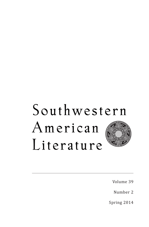## Southwestern American Literature

Volume 39

Number 2

Spring 2014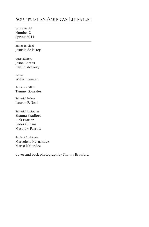## **Southwestern American Literature**

Volume 39 Number 2 Spring 2014

1 Editor-in-Chief Jesús F. de la Teja

Guest Editors Jason Coates Caitlin McCrory

Editor William Jensen

Associate Editor Tammy Gonzales

Editorial Fellow Lauren E. Neal

Editorial Assistants Shanna Bradford Rick Frazier Peder Gilham Matthew Parrott

Student Assistants Marselena Hernandez Marco Melendez

Cover and back photograph by Shanna Bradford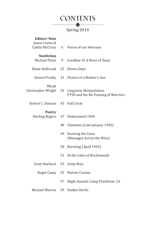

## Spring 2014

| <b>Editors' Note</b><br>Jason Coates &<br>Caitlin McCrory | 6  | Voices of our Veterans                                           |
|-----------------------------------------------------------|----|------------------------------------------------------------------|
| <b>Nonfiction</b><br>Michael Flynn                        | 9  | Goodbye To A River of Tears                                      |
| <b>Blake Holbrook</b>                                     | 25 | Eleven Days                                                      |
| Steven Prusky                                             | 31 | Picture of a Mother's Son                                        |
| Micah<br>Christopher Wright                               | 35 | Linguistic Manipulation:<br>PTSD and the Re-Training of Warriors |
| Robert C. Duncan                                          | 43 | <b>Full Circle</b>                                               |
| Poetry<br><b>Sterling Rogers</b>                          | 47 | Deployment: 1944                                                 |
|                                                           | 48 | Chemnitz (Late January 1945)                                     |
|                                                           | 49 | Drawing the Goon<br>(Messages Across the Wire)                   |
|                                                           | 50 | Berching (April 1945)                                            |
|                                                           | 51 | At the Gates of Buchenwald                                       |
| <b>Scott Starbuck</b>                                     | 53 | Army Man                                                         |
| Roger Camp                                                | 55 | Marine Cuisine                                                   |
|                                                           | 57 | Night Assault, Camp Pendleton, CA                                |
| Michael Warren                                            | 59 | Yankee Devils                                                    |